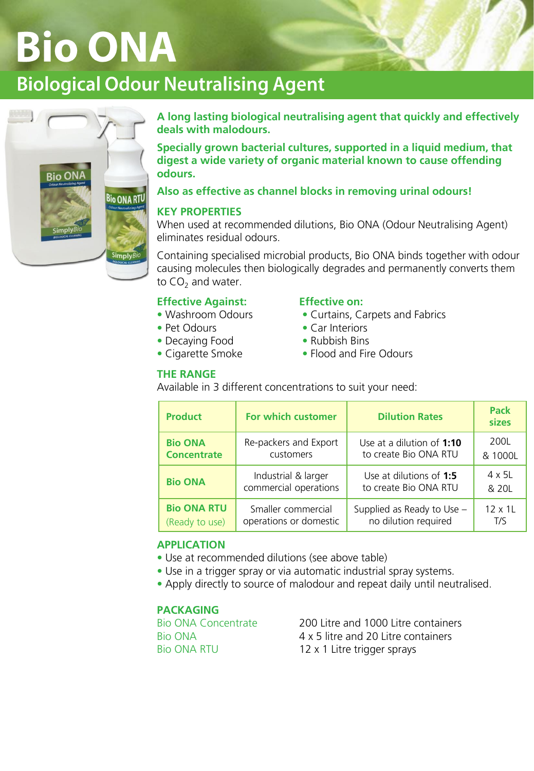# **Bio ONA**

# **Biological Odour Neutralising Agent**



**A long lasting biological neutralising agent that quickly and effectively deals with malodours.**

**Specially grown bacterial cultures, supported in a liquid medium, that digest a wide variety of organic material known to cause offending odours.**

# **Also as effective as channel blocks in removing urinal odours!**

# **KEY PROPERTIES**

When used at recommended dilutions, Bio ONA (Odour Neutralising Agent) eliminates residual odours.

Containing specialised microbial products, Bio ONA binds together with odour causing molecules then biologically degrades and permanently converts them to  $CO<sub>2</sub>$  and water.

# **Effective Against: Effective on:**

- 
- 
- Decaying Food Rubbish Bins
- 

#### **THE RANGE**

- Washroom Odours Curtains, Carpets and Fabrics
- Pet Odours Car Interiors
	-
- Cigarette Smoke Flood and Fire Odours

# Available in 3 different concentrations to suit your need:

| <b>Product</b>     | For which customer     | <b>Dilution Rates</b>      | <b>Pack</b><br>sizes |
|--------------------|------------------------|----------------------------|----------------------|
| <b>Bio ONA</b>     | Re-packers and Export  | Use at a dilution of 1:10  | 200L                 |
| <b>Concentrate</b> | customers              | to create Bio ONA RTU      | & 1000L              |
| <b>Bio ONA</b>     | Industrial & larger    | Use at dilutions of 1:5    | $4 \times 51$        |
|                    | commercial operations  | to create Bio ONA RTU      | & 20L                |
| <b>Bio ONA RTU</b> | Smaller commercial     | Supplied as Ready to Use - | 12 x 1L              |
| (Ready to use)     | operations or domestic | no dilution required       | T/S                  |

# **APPLICATION**

- Use at recommended dilutions (see above table)
- Use in a trigger spray or via automatic industrial spray systems.
- Apply directly to source of malodour and repeat daily until neutralised.

# **PACKAGING**

Bio ONA Concentrate 200 Litre and 1000 Litre containers Bio ONA 4 x 5 litre and 20 Litre containers Bio ONA RTU 12 x 1 Litre trigger sprays